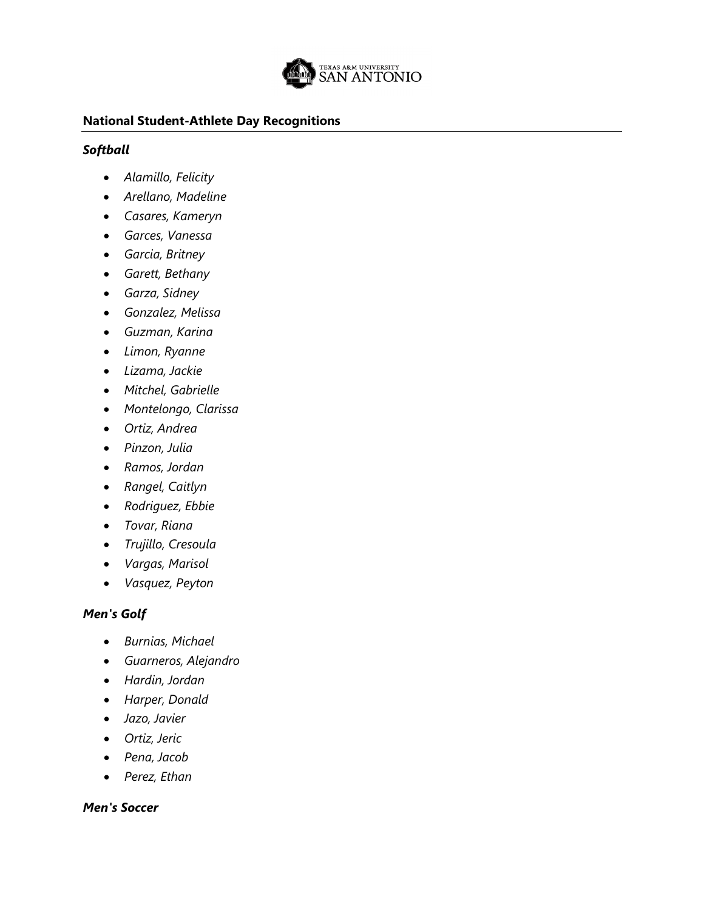

### **National Student-Athlete Day Recognitions**

## *Softball*

- *Alamillo, Felicity*
- *Arellano, Madeline*
- *Casares, Kameryn*
- *Garces, Vanessa*
- *Garcia, Britney*
- *Garett, Bethany*
- *Garza, Sidney*
- *Gonzalez, Melissa*
- *Guzman, Karina*
- *Limon, Ryanne*
- *Lizama, Jackie*
- *Mitchel, Gabrielle*
- *Montelongo, Clarissa*
- *Ortiz, Andrea*
- *Pinzon, Julia*
- *Ramos, Jordan*
- *Rangel, Caitlyn*
- *Rodriguez, Ebbie*
- *Tovar, Riana*
- *Trujillo, Cresoula*
- *Vargas, Marisol*
- *Vasquez, Peyton*

# *Men's Golf*

- *Burnias, Michael*
- *Guarneros, Alejandro*
- *Hardin, Jordan*
- *Harper, Donald*
- *Jazo, Javier*
- *Ortiz, Jeric*
- *Pena, Jacob*
- *Perez, Ethan*

## *Men's Soccer*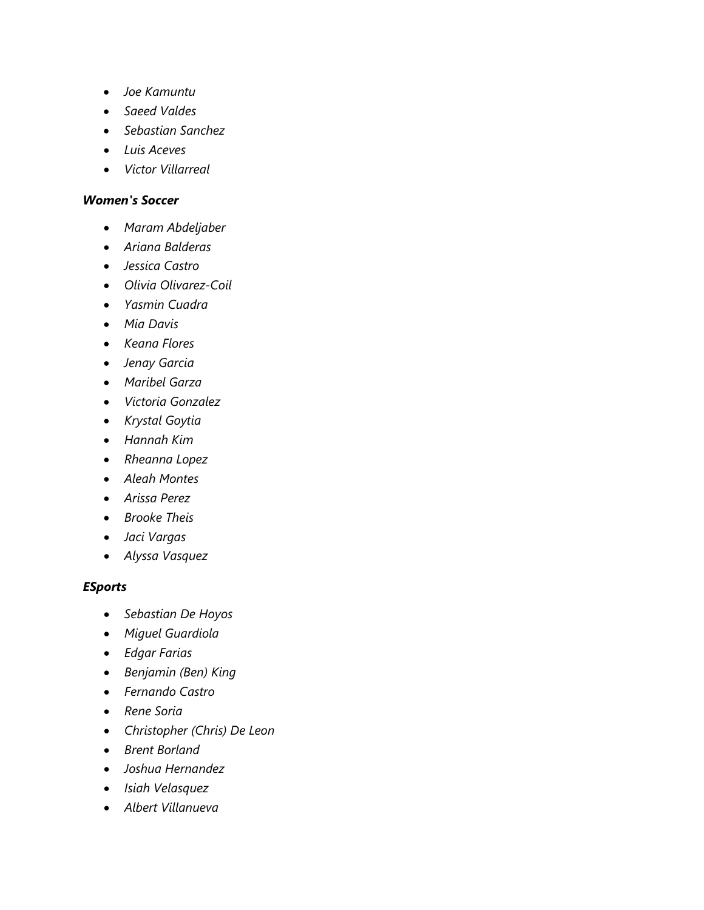- *Joe Kamuntu*
- *Saeed Valdes*
- *Sebastian Sanchez*
- *Luis Aceves*
- *Victor Villarreal*

#### *Women's Soccer*

- *Maram Abdeljaber*
- *Ariana Balderas*
- *Jessica Castro*
- *Olivia Olivarez-Coil*
- *Yasmin Cuadra*
- *Mia Davis*
- *Keana Flores*
- *Jenay Garcia*
- *Maribel Garza*
- *Victoria Gonzalez*
- *Krystal Goytia*
- *Hannah Kim*
- *Rheanna Lopez*
- *Aleah Montes*
- *Arissa Perez*
- *Brooke Theis*
- *Jaci Vargas*
- *Alyssa Vasquez*

#### *ESports*

- *Sebastian De Hoyos*
- *Miguel Guardiola*
- *Edgar Farias*
- *Benjamin (Ben) King*
- *Fernando Castro*
- *Rene Soria*
- *Christopher (Chris) De Leon*
- *Brent Borland*
- *Joshua Hernandez*
- *Isiah Velasquez*
- *Albert Villanueva*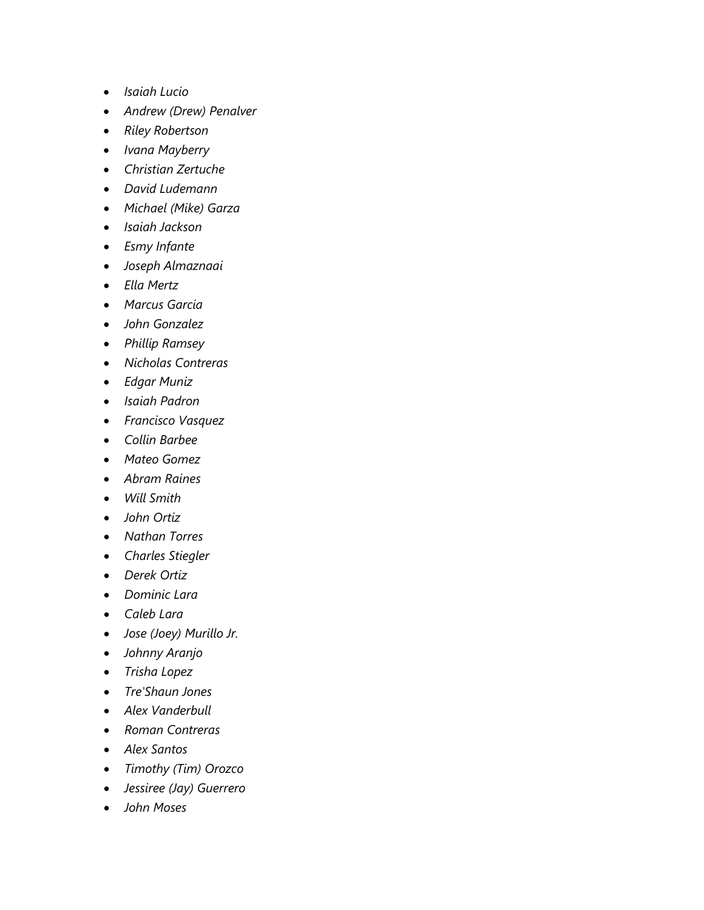- *Isaiah Lucio*
- *Andrew (Drew) Penalver*
- *Riley Robertson*
- *Ivana Mayberry*
- *Christian Zertuche*
- *David Ludemann*
- *Michael (Mike) Garza*
- *Isaiah Jackson*
- *Esmy Infante*
- *Joseph Almaznaai*
- *Ella Mertz*
- *Marcus Garcia*
- *John Gonzalez*
- *Phillip Ramsey*
- *Nicholas Contreras*
- *Edgar Muniz*
- *Isaiah Padron*
- *Francisco Vasquez*
- *Collin Barbee*
- *Mateo Gomez*
- *Abram Raines*
- *Will Smith*
- *John Ortiz*
- *Nathan Torres*
- *Charles Stiegler*
- *Derek Ortiz*
- *Dominic Lara*
- *Caleb Lara*
- *Jose (Joey) Murillo Jr.*
- *Johnny Aranjo*
- *Trisha Lopez*
- *Tre'Shaun Jones*
- *Alex Vanderbull*
- *Roman Contreras*
- *Alex Santos*
- *Timothy (Tim) Orozco*
- *Jessiree (Jay) Guerrero*
- *John Moses*